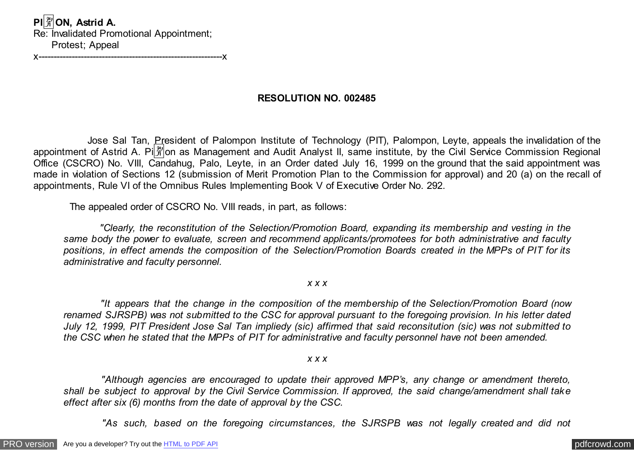**PI**�**ON, Astrid A.** Re: Invalidated Promotional Appointment; Protest; Appeal

x-------------------------------------------------------------x

## **RESOLUTION NO. 002485**

 Jose Sal Tan, President of Palompon Institute of Technology (PIT), Palompon, Leyte, appeals the invalidation of the appointment of Astrid A. Pi $\frac{20}{11}$  on as Management and Audit Analyst II, same institute, by the Civil Service Commission Regional Office (CSCRO) No. VIII, Candahug, Palo, Leyte, in an Order dated July 16, 1999 on the ground that the said appointment was made in violation of Sections 12 (submission of Merit Promotion Plan to the Commission for approval) and 20 (a) on the recall of appointments, Rule VI of the Omnibus Rules Implementing Book V of Executive Order No. 292.

The appealed order of CSCRO No. VIII reads, in part, as follows:

 *"Clearly, the reconstitution of the Selection/Promotion Board, expanding its membership and vesting in the same body the power to evaluate, screen and recommend applicants/promotees for both administrative and faculty positions, in effect amends the composition of the Selection/Promotion Boards created in the MPPs of PIT for its administrative and faculty personnel.*

### *x x x*

 *"It appears that the change in the composition of the membership of the Selection/Promotion Board (now renamed SJRSPB) was not submitted to the CSC for approval pursuant to the foregoing provision. In his letter dated July 12, 1999, PIT President Jose Sal Tan impliedy (sic) affirmed that said reconsitution (sic) was not submitted to the CSC when he stated that the MPPs of PIT for administrative and faculty personnel have not been amended.*

#### *x x x*

 *"Although agencies are encouraged to update their approved MPP's, any change or amendment thereto, shall be subject to approval by the Civil Service Commission. If approved, the said change/amendment shall take effect after six (6) months from the date of approval by the CSC.*

 *"As such, based on the foregoing circumstances, the SJRSPB was not legally created and did not*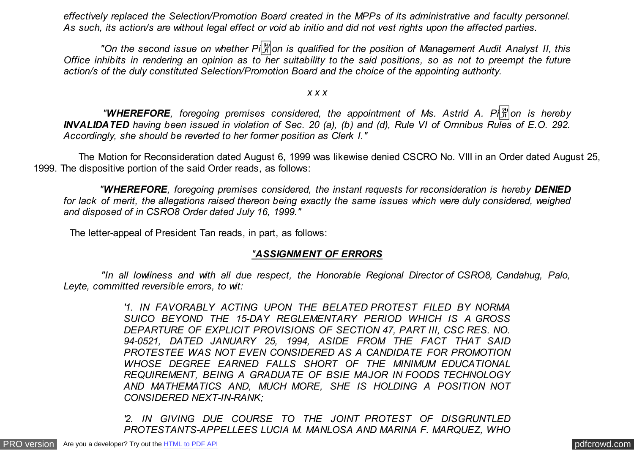*effectively replaced the Selection/Promotion Board created in the MPPs of its administrative and faculty personnel. As such, its action/s are without legal effect or void ab initio and did not vest rights upon the affected parties.*

 *"On the second issue on whether Pi*�*on is qualified for the position of Management Audit Analyst II, this Office inhibits in rendering an opinion as to her suitability to the said positions, so as not to preempt the future action/s of the duly constituted Selection/Promotion Board and the choice of the appointing authority.*

*x x x*

 *"WHEREFORE, foregoing premises considered, the appointment of Ms. Astrid A. Pi*�*on is hereby INVALIDATED having been issued in violation of Sec. 20 (a), (b) and (d), Rule VI of Omnibus Rules of E.O. 292. Accordingly, she should be reverted to her former position as Clerk I."*

 The Motion for Reconsideration dated August 6, 1999 was likewise denied CSCRO No. VIII in an Order dated August 25, 1999. The dispositive portion of the said Order reads, as follows:

 *"WHEREFORE, foregoing premises considered, the instant requests for reconsideration is hereby DENIED for lack of merit, the allegations raised thereon being exactly the same issues which were duly considered, weighed and disposed of in CSRO8 Order dated July 16, 1999."*

The letter-appeal of President Tan reads, in part, as follows:

## *"ASSIGNMENT OF ERRORS*

 *"In all lowliness and with all due respect, the Honorable Regional Director of CSRO8, Candahug, Palo, Leyte, committed reversible errors, to wit:*

> *'1. IN FAVORABLY ACTING UPON THE BELATED PROTEST FILED BY NORMA SUICO BEYOND THE 15-DAY REGLEMENTARY PERIOD WHICH IS A GROSS DEPARTURE OF EXPLICIT PROVISIONS OF SECTION 47, PART III, CSC RES. NO. 94-0521, DATED JANUARY 25, 1994, ASIDE FROM THE FACT THAT SAID PROTESTEE WAS NOT EVEN CONSIDERED AS A CANDIDATE FOR PROMOTION WHOSE DEGREE EARNED FALLS SHORT OF THE MINIMUM EDUCATIONAL REQUIREMENT, BEING A GRADUATE OF BSIE MAJOR IN FOODS TECHNOLOGY AND MATHEMATICS AND, MUCH MORE, SHE IS HOLDING A POSITION NOT CONSIDERED NEXT-IN-RANK;*

> *'2. IN GIVING DUE COURSE TO THE JOINT PROTEST OF DISGRUNTLED PROTESTANTS-APPELLEES LUCIA M. MANLOSA AND MARINA F. MARQUEZ, WHO*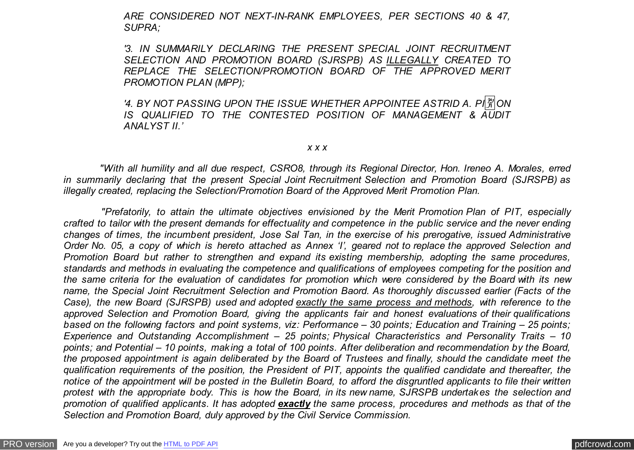*ARE CONSIDERED NOT NEXT-IN-RANK EMPLOYEES, PER SECTIONS 40 & 47, SUPRA;*

*'3. IN SUMMARILY DECLARING THE PRESENT SPECIAL JOINT RECRUITMENT SELECTION AND PROMOTION BOARD (SJRSPB) AS ILLEGALLY CREATED TO REPLACE THE SELECTION/PROMOTION BOARD OF THE APPROVED MERIT PROMOTION PLAN (MPP);*

*'4. BY NOT PASSING UPON THE ISSUE WHETHER APPOINTEE ASTRID A. PI* $\frac{29}{21}$ *ON IS QUALIFIED TO THE CONTESTED POSITION OF MANAGEMENT & AUDIT ANALYST II.'*

#### *x x x*

 *"With all humility and all due respect, CSRO8, through its Regional Director, Hon. Ireneo A. Morales, erred in summarily declaring that the present Special Joint Recruitment Selection and Promotion Board (SJRSPB) as illegally created, replacing the Selection/Promotion Board of the Approved Merit Promotion Plan.*

 *"Prefatorily, to attain the ultimate objectives envisioned by the Merit Promotion Plan of PIT, especially crafted to tailor with the present demands for effectuality and competence in the public service and the never ending changes of times, the incumbent president, Jose Sal Tan, in the exercise of his prerogative, issued Administrative Order No. 05, a copy of which is hereto attached as Annex 'I', geared not to replace the approved Selection and Promotion Board but rather to strengthen and expand its existing membership, adopting the same procedures, standards and methods in evaluating the competence and qualifications of employees competing for the position and the same criteria for the evaluation of candidates for promotion which were considered by the Board with its new name, the Special Joint Recruitment Selection and Promotion Baord. As thoroughly discussed earlier (Facts of the Case), the new Board (SJRSPB) used and adopted exactly the same process and methods, with reference to the approved Selection and Promotion Board, giving the applicants fair and honest evaluations of their qualifications based on the following factors and point systems, viz: Performance – 30 points; Education and Training – 25 points; Experience and Outstanding Accomplishment – 25 points; Physical Characteristics and Personality Traits – 10 points; and Potential – 10 points, making a total of 100 points. After deliberation and recommendation by the Board, the proposed appointment is again deliberated by the Board of Trustees and finally, should the candidate meet the qualification requirements of the position, the President of PIT, appoints the qualified candidate and thereafter, the notice of the appointment will be posted in the Bulletin Board, to afford the disgruntled applicants to file their written protest with the appropriate body. This is how the Board, in its new name, SJRSPB undertakes the selection and promotion of qualified applicants. It has adopted exactly the same process, procedures and methods as that of the Selection and Promotion Board, duly approved by the Civil Service Commission.*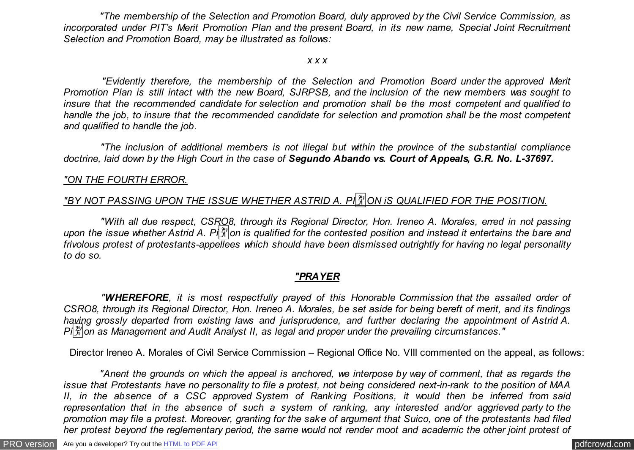*"The membership of the Selection and Promotion Board, duly approved by the Civil Service Commission, as incorporated under PIT's Merit Promotion Plan and the present Board, in its new name, Special Joint Recruitment Selection and Promotion Board, may be illustrated as follows:*

#### *x x x*

 *"Evidently therefore, the membership of the Selection and Promotion Board under the approved Merit Promotion Plan is still intact with the new Board, SJRPSB, and the inclusion of the new members was sought to insure that the recommended candidate for selection and promotion shall be the most competent and qualified to handle the job, to insure that the recommended candidate for selection and promotion shall be the most competent and qualified to handle the job.*

 *"The inclusion of additional members is not illegal but within the province of the substantial compliance doctrine, laid down by the High Court in the case of Segundo Abando vs. Court of Appeals, G.R. No. L-37697.*

## *"ON THE FOURTH ERROR.*

# *"BY NOT PASSING UPON THE ISSUE WHETHER ASTRID A. PI* $\frac{|\mathcal{X}|}{|\mathcal{X}|}$ *ON iS QUALIFIED FOR THE POSITION.*

 *"With all due respect, CSRO8, through its Regional Director, Hon. Ireneo A. Morales, erred in not passing upon the issue whether Astrid A. Pi*�*on is qualified for the contested position and instead it entertains the bare and frivolous protest of protestants-appellees which should have been dismissed outrightly for having no legal personality to do so.*

## *"PRAYER*

 *"WHEREFORE, it is most respectfully prayed of this Honorable Commission that the assailed order of CSRO8, through its Regional Director, Hon. Ireneo A. Morales, be set aside for being bereft of merit, and its findings having grossly departed from existing laws and jurisprudence, and further declaring the appointment of Astrid A. Pi*�*on as Management and Audit Analyst II, as legal and proper under the prevailing circumstances."*

Director Ireneo A. Morales of Civil Service Commission – Regional Office No. VIII commented on the appeal, as follows:

 *"Anent the grounds on which the appeal is anchored, we interpose by way of comment, that as regards the issue that Protestants have no personality to file a protest, not being considered next-in-rank to the position of MAA II, in the absence of a CSC approved System of Ranking Positions, it would then be inferred from said representation that in the absence of such a system of ranking, any interested and/or aggrieved party to the promotion may file a protest. Moreover, granting for the sake of argument that Suico, one of the protestants had filed her protest beyond the reglementary period, the same would not render moot and academic the other joint protest of*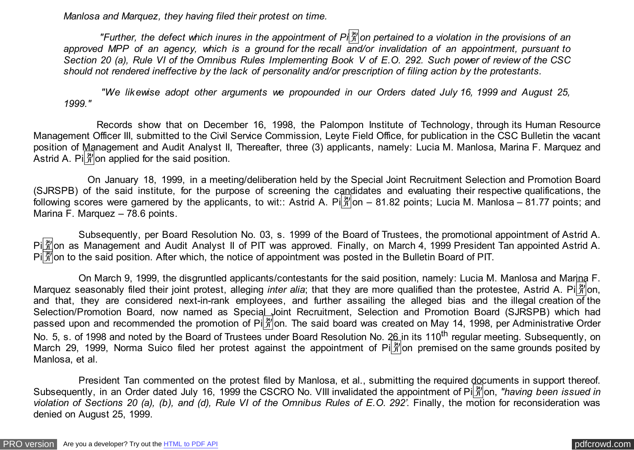*Manlosa and Marquez, they having filed their protest on time.*

 *"Further, the defect which inures in the appointment of Pi*�*on pertained to a violation in the provisions of an approved MPP of an agency, which is a ground for the recall and/or invalidation of an appointment, pursuant to Section 20 (a), Rule VI of the Omnibus Rules Implementing Book V of E.O. 292. Such power of review of the CSC should not rendered ineffective by the lack of personality and/or prescription of filing action by the protestants.*

 *"We likewise adopt other arguments we propounded in our Orders dated July 16, 1999 and August 25, 1999."*

 Records show that on December 16, 1998, the Palompon Institute of Technology, through its Human Resource Management Officer III, submitted to the Civil Service Commission, Leyte Field Office, for publication in the CSC Bulletin the vacant position of Management and Audit Analyst II, Thereafter, three (3) applicants, namely: Lucia M. Manlosa, Marina F. Marquez and Astrid A. Pi $\frac{29}{10}$  on applied for the said position.

 On January 18, 1999, in a meeting/deliberation held by the Special Joint Recruitment Selection and Promotion Board (SJRSPB) of the said institute, for the purpose of screening the candidates and evaluating their respective qualifications, the following scores were garnered by the applicants, to wit: Astrid A. Pi $\frac{20}{10}$  = 81.82 points; Lucia M. Manlosa – 81.77 points; and Marina F. Marquez – 78.6 points.

 Subsequently, per Board Resolution No. 03, s. 1999 of the Board of Trustees, the promotional appointment of Astrid A. Pillion as Management and Audit Analyst II of PIT was approved. Finally, on March 4, 1999 President Tan appointed Astrid A. Pi| on to the said position. After which, the notice of appointment was posted in the Bulletin Board of PIT.

 On March 9, 1999, the disgruntled applicants/contestants for the said position, namely: Lucia M. Manlosa and Marina F. Marquez seasonably filed their joint protest, alleging *inter alia*; that they are more qualified than the protestee, Astrid A. Pi $\frac{20}{3}$ on, and that, they are considered next-in-rank employees, and further assailing the alleged bias and the illegal creation of the Selection/Promotion Board, now named as Special Joint Recruitment, Selection and Promotion Board (SJRSPB) which had passed upon and recommended the promotion of Pi $\frac{29}{21}$ on. The said board was created on May 14, 1998, per Administrative Order No. 5, s. of 1998 and noted by the Board of Trustees under Board Resolution No. 26 in its 110<sup>th</sup> regular meeting. Subsequently, on March 29, 1999, Norma Suico filed her protest against the appointment of Pi $\frac{29}{10}$  premised on the same grounds posited by Manlosa, et al.

 President Tan commented on the protest filed by Manlosa, et al., submitting the required documents in support thereof. Subsequently, in an Order dated July 16, 1999 the CSCRO No. VIII invalidated the appointment of Pi $\frac{\aleph}{\aleph}$  on, "having been issued in *violation of Sections 20 (a), (b), and (d), Rule VI of the Omnibus Rules of E.O. 292'*. Finally, the motion for reconsideration was denied on August 25, 1999.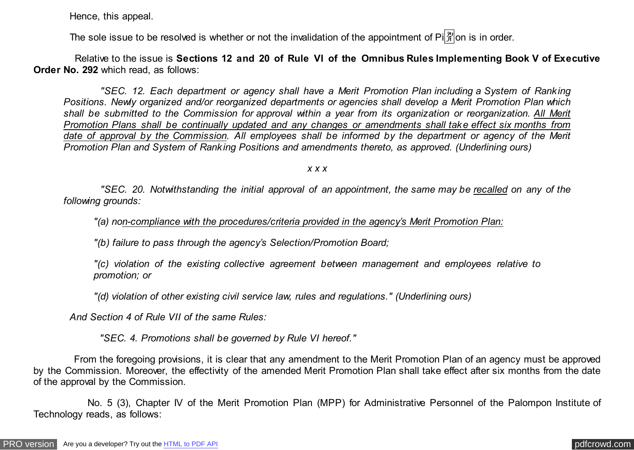Hence, this appeal.

The sole issue to be resolved is whether or not the invalidation of the appointment of  $\text{Pi}^{\{2\}}_{\mathcal{F}}$  on is in order.

 Relative to the issue is **Sections 12 and 20 of Rule VI of the Omnibus Rules Implementing Book V of Executive Order No. 292** which read, as follows:

 *"SEC. 12. Each department or agency shall have a Merit Promotion Plan including a System of Ranking Positions. Newly organized and/or reorganized departments or agencies shall develop a Merit Promotion Plan which shall be submitted to the Commission for approval within a year from its organization or reorganization. All Merit Promotion Plans shall be continually updated and any changes or amendments shall take effect six months from date of approval by the Commission. All employees shall be informed by the department or agency of the Merit Promotion Plan and System of Ranking Positions and amendments thereto, as approved. (Underlining ours)*

*x x x*

 *"SEC. 20. Notwithstanding the initial approval of an appointment, the same may be recalled on any of the following grounds:*

*"(a) non-compliance with the procedures/criteria provided in the agency's Merit Promotion Plan:*

*"(b) failure to pass through the agency's Selection/Promotion Board;*

*"(c) violation of the existing collective agreement between management and employees relative to promotion; or*

*"(d) violation of other existing civil service law, rules and regulations." (Underlining ours)*

 *And Section 4 of Rule VII of the same Rules:*

 *"SEC. 4. Promotions shall be governed by Rule VI hereof."*

 From the foregoing provisions, it is clear that any amendment to the Merit Promotion Plan of an agency must be approved by the Commission. Moreover, the effectivity of the amended Merit Promotion Plan shall take effect after six months from the date of the approval by the Commission.

 No. 5 (3), Chapter IV of the Merit Promotion Plan (MPP) for Administrative Personnel of the Palompon Institute of Technology reads, as follows: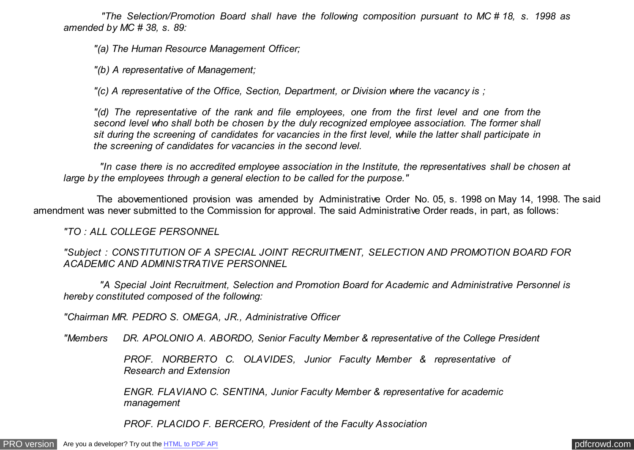*"The Selection/Promotion Board shall have the following composition pursuant to MC # 18, s. 1998 as amended by MC # 38, s. 89:*

*"(a) The Human Resource Management Officer;*

*"(b) A representative of Management;*

*"(c) A representative of the Office, Section, Department, or Division where the vacancy is ;*

*"(d) The representative of the rank and file employees, one from the first level and one from the second level who shall both be chosen by the duly recognized employee association. The former shall sit during the screening of candidates for vacancies in the first level, while the latter shall participate in the screening of candidates for vacancies in the second level.*

 *"In case there is no accredited employee association in the Institute, the representatives shall be chosen at large by the employees through a general election to be called for the purpose."*

 The abovementioned provision was amended by Administrative Order No. 05, s. 1998 on May 14, 1998. The said amendment was never submitted to the Commission for approval. The said Administrative Order reads, in part, as follows:

*"TO : ALL COLLEGE PERSONNEL*

*"Subject : CONSTITUTION OF A SPECIAL JOINT RECRUITMENT, SELECTION AND PROMOTION BOARD FOR ACADEMIC AND ADMINISTRATIVE PERSONNEL*

 *"A Special Joint Recruitment, Selection and Promotion Board for Academic and Administrative Personnel is hereby constituted composed of the following:*

*"Chairman MR. PEDRO S. OMEGA, JR., Administrative Officer*

*"Members DR. APOLONIO A. ABORDO, Senior Faculty Member & representative of the College President*

*PROF. NORBERTO C. OLAVIDES, Junior Faculty Member & representative of Research and Extension*

*ENGR. FLAVIANO C. SENTINA, Junior Faculty Member & representative for academic management*

*PROF. PLACIDO F. BERCERO, President of the Faculty Association*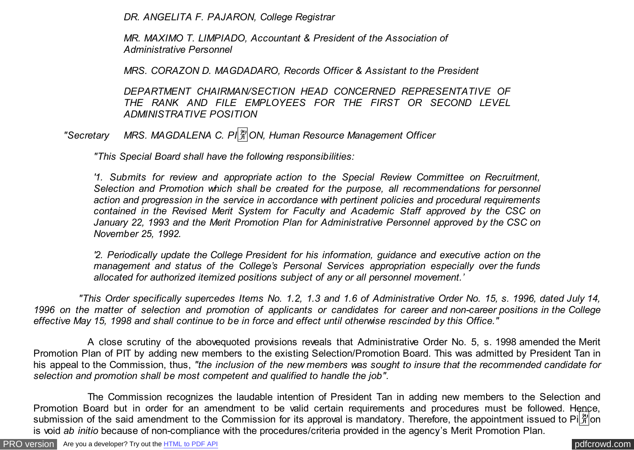*DR. ANGELITA F. PAJARON, College Registrar*

*MR. MAXIMO T. LIMPIADO, Accountant & President of the Association of Administrative Personnel*

*MRS. CORAZON D. MAGDADARO, Records Officer & Assistant to the President*

*DEPARTMENT CHAIRMAN/SECTION HEAD CONCERNED REPRESENTATIVE OF THE RANK AND FILE EMPLOYEES FOR THE FIRST OR SECOND LEVEL ADMINISTRATIVE POSITION*

*"Secretary MRS. MAGDALENA C. PI* $\frac{|\mathfrak{X}|}{|\mathfrak{X}|}$ *ON, Human Resource Management Officer* 

*"This Special Board shall have the following responsibilities:*

*'1. Submits for review and appropriate action to the Special Review Committee on Recruitment, Selection and Promotion which shall be created for the purpose, all recommendations for personnel action and progression in the service in accordance with pertinent policies and procedural requirements contained in the Revised Merit System for Faculty and Academic Staff approved by the CSC on January 22, 1993 and the Merit Promotion Plan for Administrative Personnel approved by the CSC on November 25, 1992.*

*'2. Periodically update the College President for his information, guidance and executive action on the management and status of the College's Personal Services appropriation especially over the funds allocated for authorized itemized positions subject of any or all personnel movement.'*

 *"This Order specifically supercedes Items No. 1.2, 1.3 and 1.6 of Administrative Order No. 15, s. 1996, dated July 14, 1996 on the matter of selection and promotion of applicants or candidates for career and non-career positions in the College effective May 15, 1998 and shall continue to be in force and effect until otherwise rescinded by this Office."*

 A close scrutiny of the abovequoted provisions reveals that Administrative Order No. 5, s. 1998 amended the Merit Promotion Plan of PIT by adding new members to the existing Selection/Promotion Board. This was admitted by President Tan in his appeal to the Commission, thus, *"the inclusion of the new members was sought to insure that the recommended candidate for selection and promotion shall be most competent and qualified to handle the job".*

 The Commission recognizes the laudable intention of President Tan in adding new members to the Selection and Promotion Board but in order for an amendment to be valid certain requirements and procedures must be followed. Hence, submission of the said amendment to the Commission for its approval is mandatory. Therefore, the appointment issued to Pi $\frac{1}{2}$  on is void *ab initio* because of non-compliance with the procedures/criteria provided in the agency's Merit Promotion Plan.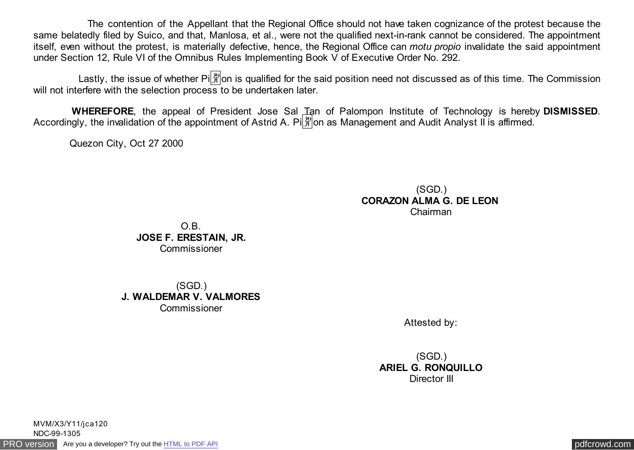The contention of the Appellant that the Regional Office should not have taken cognizance of the protest because the same belatedly filed by Suico, and that, Manlosa, et al., were not the qualified next-in-rank cannot be considered. The appointment itself, even without the protest, is materially defective, hence, the Regional Office can *motu propio* invalidate the said appointment under Section 12, Rule VI of the Omnibus Rules Implementing Book V of Executive Order No. 292.

Lastly, the issue of whether Pi $\frac{y_0}{N}$  on is qualified for the said position need not discussed as of this time. The Commission will not interfere with the selection process to be undertaken later.

 **WHEREFORE**, the appeal of President Jose Sal Tan of Palompon Institute of Technology is hereby **DISMISSED**. Accordingly, the invalidation of the appointment of Astrid A. Pi $\frac{29}{10}$  as Management and Audit Analyst II is affirmed.

Quezon City, Oct 27 2000

## (SGD.) **CORAZON ALMA G. DE LEON**  Chairman

O.B. **JOSE F. ERESTAIN, JR.** Commissioner

(SGD.) **J. WALDEMAR V. VALMORES** Commissioner

Attested by:

(SGD.) **ARIEL G. RONQUILLO** Director III

[PRO version](http://pdfcrowd.com/customize/) Are you a developer? Try out th[e HTML to PDF API](http://pdfcrowd.com/html-to-pdf-api/?ref=pdf) process and the community of the HTML to PDF API [pdfcrowd.com](http://pdfcrowd.com) MVM/X3/Y11/jca120 NDC-99-1305